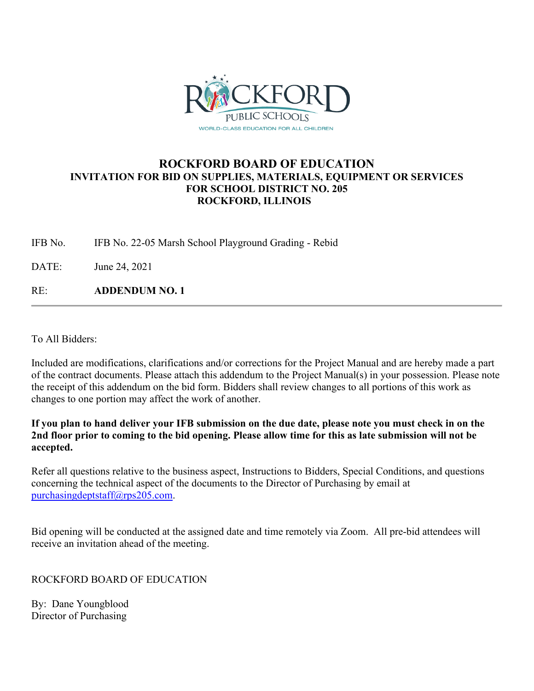

## **ROCKFORD BOARD OF EDUCATION INVITATION FOR BID ON SUPPLIES, MATERIALS, EQUIPMENT OR SERVICES FOR SCHOOL DISTRICT NO. 205 ROCKFORD, ILLINOIS**

IFB No. IFB No. 22-05 Marsh School Playground Grading - Rebid

DATE: June 24, 2021

RE: **ADDENDUM NO. 1**

To All Bidders:

Included are modifications, clarifications and/or corrections for the Project Manual and are hereby made a part of the contract documents. Please attach this addendum to the Project Manual(s) in your possession. Please note the receipt of this addendum on the bid form. Bidders shall review changes to all portions of this work as changes to one portion may affect the work of another.

**If you plan to hand deliver your IFB submission on the due date, please note you must check in on the 2nd floor prior to coming to the bid opening. Please allow time for this as late submission will not be accepted.**

Refer all questions relative to the business aspect, Instructions to Bidders, Special Conditions, and questions concerning the technical aspect of the documents to the Director of Purchasing by email at [purchasingdeptstaff@rps205.com.](mailto:purchasingdeptstaff@rps205.com)

Bid opening will be conducted at the assigned date and time remotely via Zoom. All pre-bid attendees will receive an invitation ahead of the meeting.

ROCKFORD BOARD OF EDUCATION

By: Dane Youngblood Director of Purchasing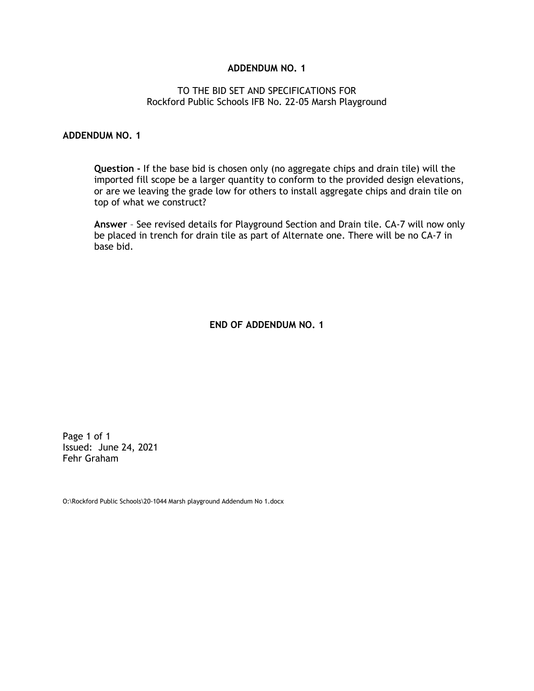## **ADDENDUM NO. 1**

## TO THE BID SET AND SPECIFICATIONS FOR Rockford Public Schools IFB No. 22-05 Marsh Playground

## **ADDENDUM NO. 1**

**Question -** If the base bid is chosen only (no aggregate chips and drain tile) will the imported fill scope be a larger quantity to conform to the provided design elevations, or are we leaving the grade low for others to install aggregate chips and drain tile on top of what we construct?

**Answer** – See revised details for Playground Section and Drain tile. CA-7 will now only be placed in trench for drain tile as part of Alternate one. There will be no CA-7 in base bid.

**END OF ADDENDUM NO. 1**

Page 1 of 1 Issued: June 24, 2021 Fehr Graham

O:\Rockford Public Schools\20-1044 Marsh playground Addendum No 1.docx